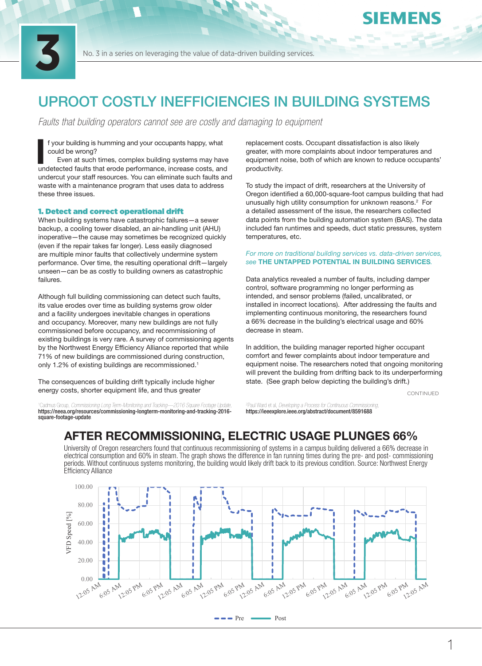

No. 3 in a series on leveraging the value of data-driven building services.

# UPROOT COSTLY INFFFICIENCIES IN BUILDING SYSTEMS

*Faults that building operators cannot see are costly and damaging to equipment* 

I f your building is humming and your occupants happy, what<br>could be wrong?<br>Even at such times, complex building systems may have<br>undetected faults that erode performance, increase costs, and f your building is humming and your occupants happy, what could be wrong?

 Even at such times, complex building systems may have undercut your staff resources. You can eliminate such faults and waste with a maintenance program that uses data to address these three issues.

#### 1. Detect and correct operational drift

When building systems have catastrophic failures—a sewer backup, a cooling tower disabled, an air-handling unit (AHU) inoperative—the cause may sometimes be recognized quickly (even if the repair takes far longer). Less easily diagnosed are multiple minor faults that collectively undermine system performance. Over time, the resulting operational drift—largely unseen—can be as costly to building owners as catastrophic failures.

Although full building commissioning can detect such faults, its value erodes over time as building systems grow older and a facility undergoes inevitable changes in operations and occupancy. Moreover, many new buildings are not fully commissioned before occupancy, and recommissioning of existing buildings is very rare. A survey of commissioning agents by the Northwest Energy Efficiency Alliance reported that while 71% of new buildings are commissioned during construction, only 1.2% of existing buildings are recommissioned.<sup>1</sup>

The consequences of building drift typically include higher energy costs, shorter equipment life, and thus greater

Cadmus Group *Commissioning Long Term-Monitoring and Tracking—2016 Square Footage Undate* Cadmus Group, *Commissioning Long Term-Monitoring and Tracking—2016 Square Footage Update*, https://neea.org/resources/commissioning-longterm-monitoring-and-tracking-2016 square-footage-update.

replacement costs. Occupant dissatisfaction is also likely greater, with more complaints about indoor temperatures and equipment noise, both of which are known to reduce occupants' productivity.

To study the impact of drift, researchers at the University of Oregon identified a 60,000-square-foot campus building that had unusually high utility consumption for unknown reasons.2 For a detailed assessment of the issue, the researchers collected data points from the building automation system (BAS). The data included fan runtimes and speeds, duct static pressures, system temperatures, etc.

### *For more on traditional building services vs. data-driven services, see* THE UNTAPPED POTENTIAL IN BUILDING SERVICES*.*

Data analytics revealed a number of faults, including damper control, software programming no longer performing as intended, and sensor problems (failed, uncalibrated, or installed in incorrect locations). After addressing the faults and implementing continuous monitoring, the researchers found a 66% decrease in the building's electrical usage and 60% decrease in steam.

In addition, the building manager reported higher occupant comfort and fewer complaints about indoor temperature and equipment noise. The researchers noted that ongoing monitoring will prevent the building from drifting back to its underperforming state. (See graph below depicting the building's drift.)

CONTINUED

FMENS

<sup>2</sup>Paul Ward et al. *Develoning a Process for Continuous Cor* Paul Ward et al, *Developing a Process for Continuous Commissioning*, https://ieeexplore.ieee.org/abstract/document/8591688

# AFTER RECOMMISSIONING, ELECTRIC USAGE PLUNGES 66%

University of Oregon researchers found that continuous recommissioning of systems in a campus building delivered a 66% decrease in electrical consumption and 60% in steam. The graph shows the difference in fan running times during the pre- and post- commissioning periods. Without continuous systems monitoring, the building would likely drift back to its previous condition. Source: Northwest Energy Efficiency Alliance